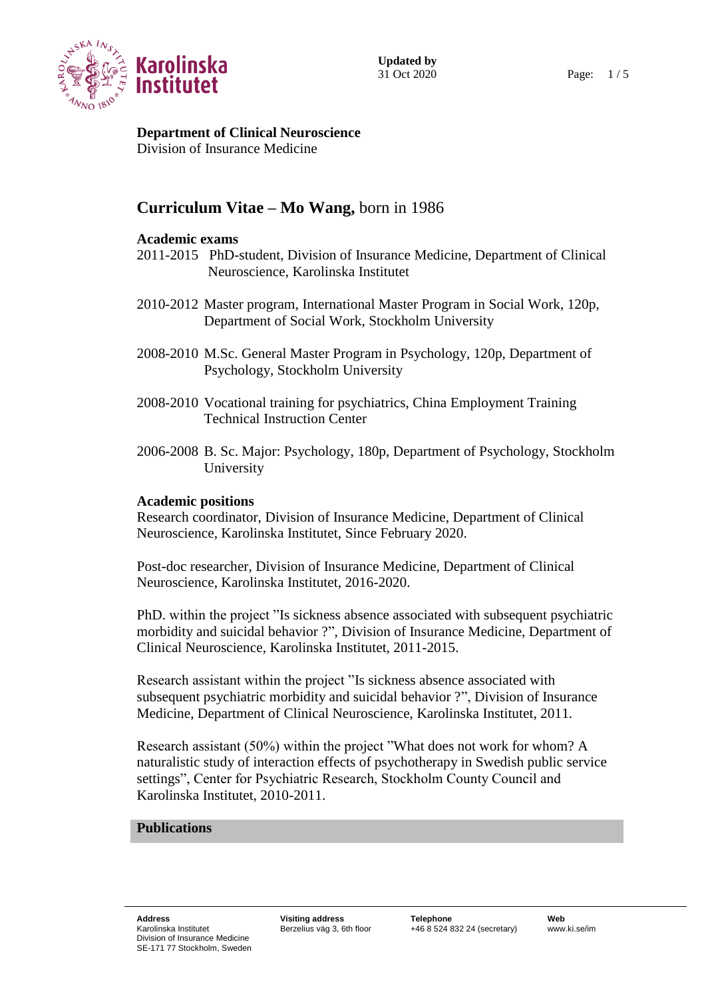

**Department of Clinical Neuroscience**

Division of Insurance Medicine

# **Curriculum Vitae – Mo Wang,** born in 1986

### **Academic exams**

- 2011-2015 PhD-student, Division of Insurance Medicine, Department of Clinical Neuroscience, Karolinska Institutet
- 2010-2012 Master program, International Master Program in Social Work, 120p, Department of Social Work, Stockholm University
- 2008-2010 M.Sc. General Master Program in Psychology, 120p, Department of Psychology, Stockholm University
- 2008-2010 Vocational training for psychiatrics, China Employment Training Technical Instruction Center
- 2006-2008 B. Sc. Major: Psychology, 180p, Department of Psychology, Stockholm University

#### **Academic positions**

Research coordinator, Division of Insurance Medicine, Department of Clinical Neuroscience, Karolinska Institutet, Since February 2020.

Post-doc researcher, Division of Insurance Medicine, Department of Clinical Neuroscience, Karolinska Institutet, 2016-2020.

PhD. within the project "Is sickness absence associated with subsequent psychiatric morbidity and suicidal behavior ?", Division of Insurance Medicine, Department of Clinical Neuroscience, Karolinska Institutet, 2011-2015.

Research assistant within the project "Is sickness absence associated with subsequent psychiatric morbidity and suicidal behavior ?", Division of Insurance Medicine, Department of Clinical Neuroscience, Karolinska Institutet, 2011.

Research assistant (50%) within the project "What does not work for whom? A naturalistic study of interaction effects of psychotherapy in Swedish public service settings", Center for Psychiatric Research, Stockholm County Council and Karolinska Institutet, 2010-2011.

## **Publications**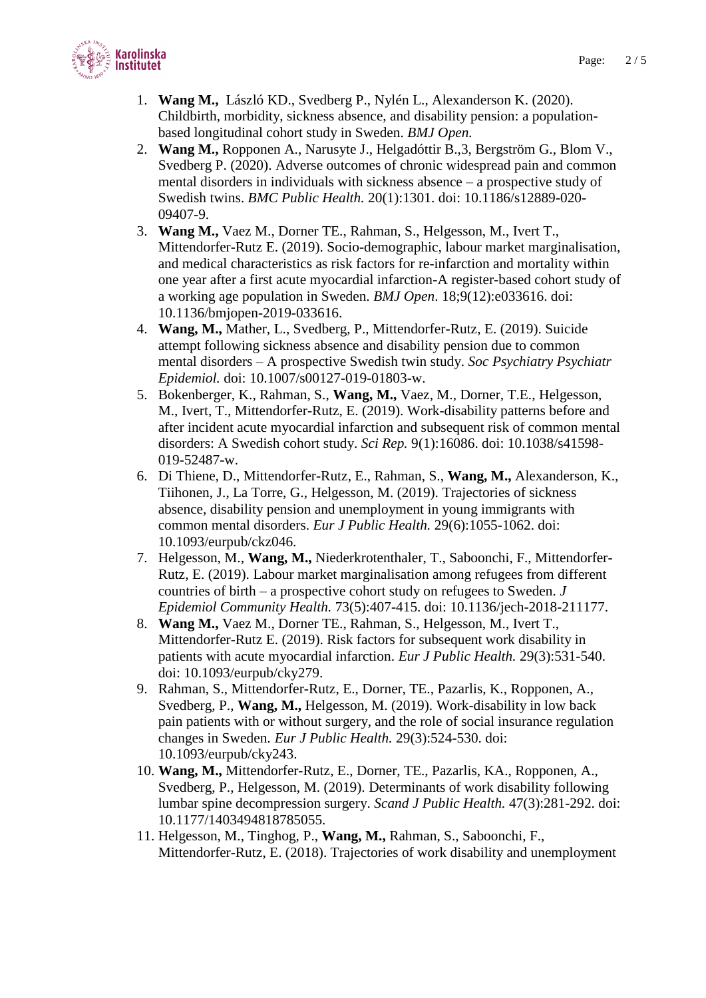

- 1. **Wang M.,** László KD., Svedberg P., Nylén L., Alexanderson K. (2020). Childbirth, morbidity, sickness absence, and disability pension: a populationbased longitudinal cohort study in Sweden. *BMJ Open.*
- 2. **Wang M.,** Ropponen A., Narusyte J., Helgadóttir B.,3, Bergström G., Blom V., Svedberg P. (2020). Adverse outcomes of chronic widespread pain and common mental disorders in individuals with sickness absence – a prospective study of Swedish twins. *BMC Public Health.* 20(1):1301. doi: 10.1186/s12889-020- 09407-9.
- 3. **Wang M.,** Vaez M., Dorner TE., Rahman, S., Helgesson, M., Ivert T., Mittendorfer-Rutz E. (2019). Socio-demographic, labour market marginalisation, and medical characteristics as risk factors for re-infarction and mortality within one year after a first acute myocardial infarction-A register-based cohort study of a working age population in Sweden. *BMJ Open*. 18;9(12):e033616. doi: 10.1136/bmjopen-2019-033616.
- 4. **Wang, M.,** Mather, L., Svedberg, P., Mittendorfer-Rutz, E. (2019). Suicide attempt following sickness absence and disability pension due to common mental disorders – A prospective Swedish twin study. *Soc Psychiatry Psychiatr Epidemiol.* doi: 10.1007/s00127-019-01803-w.
- 5. Bokenberger, K., Rahman, S., **Wang, M.,** Vaez, M., Dorner, T.E., Helgesson, M., Ivert, T., Mittendorfer-Rutz, E. (2019). Work-disability patterns before and after incident acute myocardial infarction and subsequent risk of common mental disorders: A Swedish cohort study. *Sci Rep.* 9(1):16086. doi: 10.1038/s41598- 019-52487-w.
- 6. Di Thiene, D., Mittendorfer-Rutz, E., Rahman, S., **Wang, M.,** Alexanderson, K., Tiihonen, J., La Torre, G., Helgesson, M. (2019). Trajectories of sickness absence, disability pension and unemployment in young immigrants with common mental disorders. *Eur J Public Health.* 29(6):1055-1062. doi: 10.1093/eurpub/ckz046.
- 7. Helgesson, M., **Wang, M.,** Niederkrotenthaler, T., Saboonchi, F., Mittendorfer-Rutz, E. (2019). Labour market marginalisation among refugees from different countries of birth – a prospective cohort study on refugees to Sweden. *J Epidemiol Community Health.* 73(5):407-415. doi: 10.1136/jech-2018-211177.
- 8. **Wang M.,** Vaez M., Dorner TE., Rahman, S., Helgesson, M., Ivert T., Mittendorfer-Rutz E. (2019). Risk factors for subsequent work disability in patients with acute myocardial infarction. *Eur J Public Health.* 29(3):531-540. doi: 10.1093/eurpub/cky279.
- 9. Rahman, S., Mittendorfer-Rutz, E., Dorner, TE., Pazarlis, K., Ropponen, A., Svedberg, P., **Wang, M.,** Helgesson, M. (2019). Work-disability in low back pain patients with or without surgery, and the role of social insurance regulation changes in Sweden. *Eur J Public Health.* 29(3):524-530. doi: 10.1093/eurpub/cky243.
- 10. **Wang, M.,** Mittendorfer-Rutz, E., Dorner, TE., Pazarlis, KA., Ropponen, A., Svedberg, P., Helgesson, M. (2019). Determinants of work disability following lumbar spine decompression surgery. *Scand J Public Health.* 47(3):281-292. doi: 10.1177/1403494818785055.
- 11. Helgesson, M., Tinghog, P., **Wang, M.,** Rahman, S., Saboonchi, F., Mittendorfer-Rutz, E. (2018). Trajectories of work disability and unemployment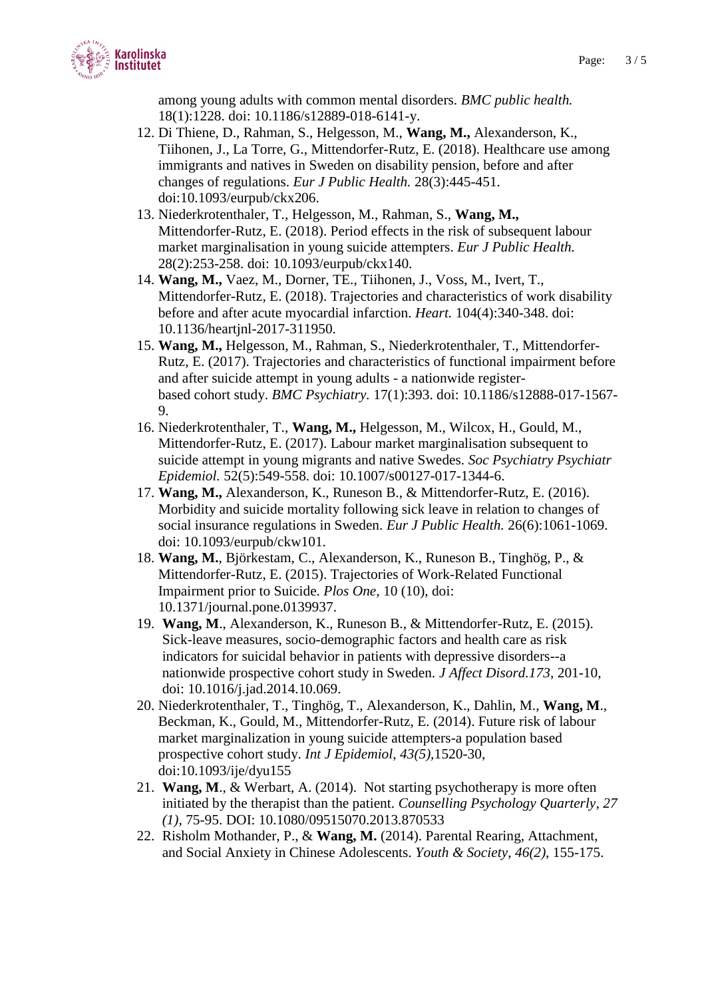

among young adults with common mental disorders. *BMC public health.*  18(1):1228. doi: 10.1186/s12889-018-6141-y.

- 12. Di Thiene, D., Rahman, S., Helgesson, M., **Wang, M.,** Alexanderson, K., Tiihonen, J., La Torre, G., Mittendorfer-Rutz, E. (2018). Healthcare use among immigrants and natives in Sweden on disability pension, before and after changes of regulations. *Eur J Public Health.* 28(3):445-451. doi:10.1093/eurpub/ckx206.
- 13. Niederkrotenthaler, T., Helgesson, M., Rahman, S., **Wang, M.,**  Mittendorfer-Rutz, E. (2018). Period effects in the risk of subsequent labour market marginalisation in young suicide attempters. *Eur J Public Health.*  28(2):253-258. doi: 10.1093/eurpub/ckx140.
- 14. **Wang, M.,** Vaez, M., Dorner, TE., Tiihonen, J., Voss, M., Ivert, T., Mittendorfer-Rutz, E. (2018). Trajectories and characteristics of work disability before and after acute myocardial infarction. *Heart.* 104(4):340-348. doi: 10.1136/heartjnl-2017-311950.
- 15. **Wang, M.,** Helgesson, M., Rahman, S., Niederkrotenthaler, T., Mittendorfer-Rutz, E. (2017). Trajectories and characteristics of functional impairment before and after suicide attempt in young adults - a nationwide registerbased cohort study. *BMC Psychiatry.* 17(1):393. doi: 10.1186/s12888-017-1567- 9.
- 16. Niederkrotenthaler, T., **Wang, M.,** Helgesson, M., Wilcox, H., Gould, M., Mittendorfer-Rutz, E. (2017). Labour market marginalisation subsequent to suicide attempt in young migrants and native Swedes. *Soc Psychiatry Psychiatr Epidemiol.* 52(5):549-558. doi: 10.1007/s00127-017-1344-6.
- 17. **Wang, M.,** Alexanderson, K., Runeson B., & Mittendorfer-Rutz, E. (2016). Morbidity and suicide mortality following sick leave in relation to changes of social insurance regulations in Sweden. *Eur J Public Health.* 26(6):1061-1069. doi: 10.1093/eurpub/ckw101.
- 18. **Wang, M.**, Björkestam, C., Alexanderson, K., Runeson B., Tinghög, P., & Mittendorfer-Rutz, E. (2015). Trajectories of Work-Related Functional Impairment prior to Suicide. *Plos One*, 10 (10), doi: 10.1371/journal.pone.0139937.
- 19. **Wang, M**., Alexanderson, K., Runeson B., & Mittendorfer-Rutz, E. (2015). Sick-leave measures, socio-demographic factors and health care as risk indicators for suicidal behavior in patients with depressive disorders--a nationwide prospective cohort study in Sweden. *J Affect Disord.173,* 201-10, doi: 10.1016/j.jad.2014.10.069.
- 20. Niederkrotenthaler, T., Tinghög, T., Alexanderson, K., Dahlin, M., **Wang, M**., Beckman, K., Gould, M., Mittendorfer-Rutz, E. (2014). Future risk of labour market marginalization in young suicide attempters-a population based prospective cohort study. *Int J Epidemiol, 43(5),*1520-30, doi:10.1093/ije/dyu155
- 21. **Wang, M**., & Werbart, A. (2014). Not starting psychotherapy is more often initiated by the therapist than the patient. *Counselling Psychology Quarterly, 27 (1),* 75-95. DOI: 10.1080/09515070.2013.870533
- 22. Risholm Mothander, P., & **Wang, M.** (2014). Parental Rearing, Attachment, and Social Anxiety in Chinese Adolescents. *Youth & Society*, *46(2),* 155-175.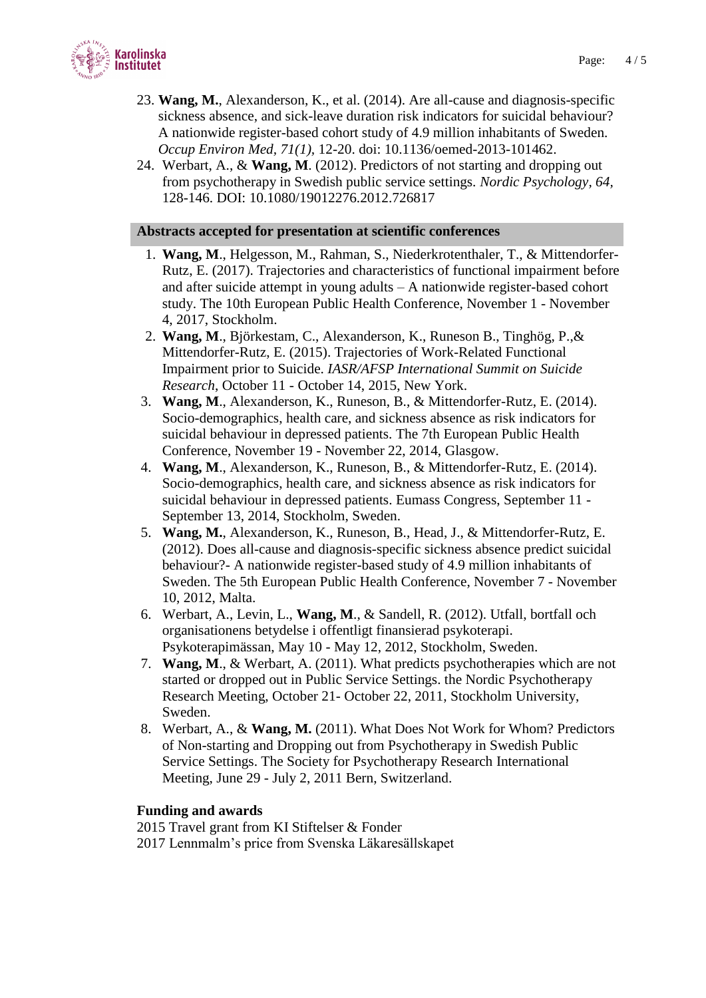

- 23. **Wang, M.**, Alexanderson, K., et al. (2014). Are all-cause and diagnosis-specific sickness absence, and sick-leave duration risk indicators for suicidal behaviour? A nationwide register-based cohort study of 4.9 million inhabitants of Sweden. *Occup Environ Med, 71(1),* 12-20. doi: 10.1136/oemed-2013-101462.
- 24. Werbart, A., & **Wang, M**. (2012). Predictors of not starting and dropping out from psychotherapy in Swedish public service settings. *Nordic Psychology, 64,* 128-146. DOI: 10.1080/19012276.2012.726817

#### **Abstracts accepted for presentation at scientific conferences**

- 1. **Wang, M**., Helgesson, M., Rahman, S., Niederkrotenthaler, T., & Mittendorfer-Rutz, E. (2017). Trajectories and characteristics of functional impairment before and after suicide attempt in young adults – A nationwide register-based cohort study. The 10th European Public Health Conference, November 1 - November 4, 2017, Stockholm.
- 2. **Wang, M**., Björkestam, C., Alexanderson, K., Runeson B., Tinghög, P.,& Mittendorfer-Rutz, E. (2015). Trajectories of Work-Related Functional Impairment prior to Suicide. *IASR/AFSP International Summit on Suicide Research*, October 11 - October 14, 2015, New York.
- 3. **Wang, M**., Alexanderson, K., Runeson, B., & Mittendorfer-Rutz, E. (2014). Socio-demographics, health care, and sickness absence as risk indicators for suicidal behaviour in depressed patients. The 7th European Public Health Conference, November 19 - November 22, 2014, Glasgow.
- 4. **Wang, M**., Alexanderson, K., Runeson, B., & Mittendorfer-Rutz, E. (2014). Socio-demographics, health care, and sickness absence as risk indicators for suicidal behaviour in depressed patients. Eumass Congress, September 11 - September 13, 2014, Stockholm, Sweden.
- 5. **Wang, M.**, Alexanderson, K., Runeson, B., Head, J., & Mittendorfer-Rutz, E. (2012). Does all-cause and diagnosis-specific sickness absence predict suicidal behaviour?- A nationwide register-based study of 4.9 million inhabitants of Sweden. The 5th European Public Health Conference, November 7 - November 10, 2012, Malta.
- 6. Werbart, A., Levin, L., **Wang, M**., & Sandell, R. (2012). Utfall, bortfall och organisationens betydelse i offentligt finansierad psykoterapi. Psykoterapimässan, May 10 - May 12, 2012, Stockholm, Sweden.
- 7. **Wang, M**., & Werbart, A. (2011). What predicts psychotherapies which are not started or dropped out in Public Service Settings. the Nordic Psychotherapy Research Meeting, October 21- October 22, 2011, Stockholm University, Sweden.
- 8. Werbart, A., & **Wang, M.** (2011). What Does Not Work for Whom? Predictors of Non-starting and Dropping out from Psychotherapy in Swedish Public Service Settings. The Society for Psychotherapy Research International Meeting, June 29 - July 2, 2011 Bern, Switzerland.

#### **Funding and awards**

2015 Travel grant from KI Stiftelser & Fonder 2017 Lennmalm's price from Svenska Läkaresällskapet